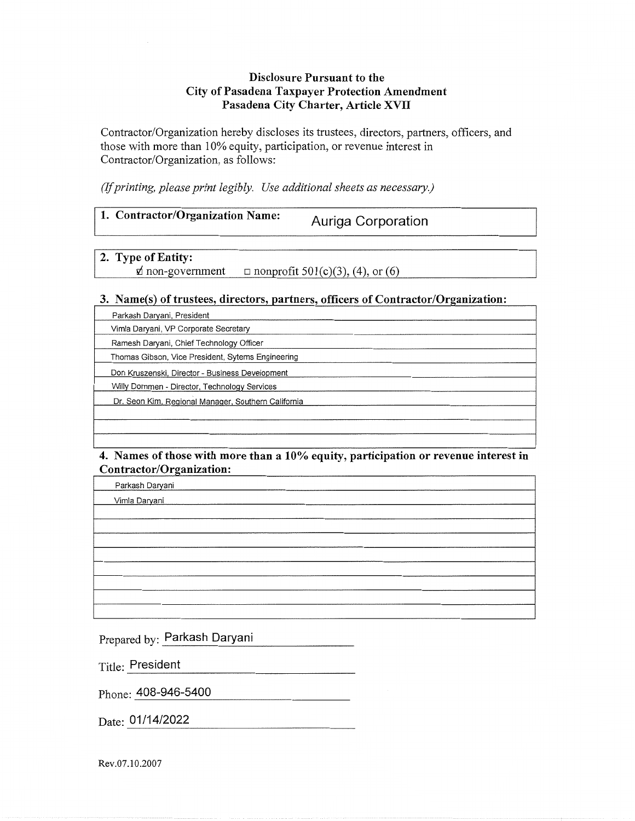#### **Disclosure Pursuant to the City of Pasadena Taxpayer Protection Amendment** Pasadena City Charter, Article XVII

Contractor/Organization hereby discloses its trustees, directors, partners, officers, and those with more than 10% equity, participation, or revenue interest in Contractor/Organization, as follows:

(If printing, please print legibly. Use additional sheets as necessary.)

| 1. Contractor/Organization Name:<br>Auriga Corporation |
|--------------------------------------------------------|
|--------------------------------------------------------|

2. Type of Entity:  $\phi$  non-government  $\Box$  nonprofit 501(c)(3), (4), or (6)

#### 3. Name(s) of trustees, directors, partners, officers of Contractor/Organization:

Parkash Daryani, President

Vimla Daryani, VP Corporate Secretary

Ramesh Daryani, Chief Technology Officer

Thomas Gibson, Vice President, Sytems Engineering

Don Kruszenski, Director - Business Development

Willy Dommen - Director, Technology Services

Dr. Seon Kim, Regional Manager, Southern California

#### 4. Names of those with more than a 10% equity, participation or revenue interest in Contractor/Organization:

Parkash Daryani Vimla Daryani

Prepared by: Parkash Daryani

**Title: President** 

Phone: 408-946-5400

Date: 01/14/2022

Rev.07.10.2007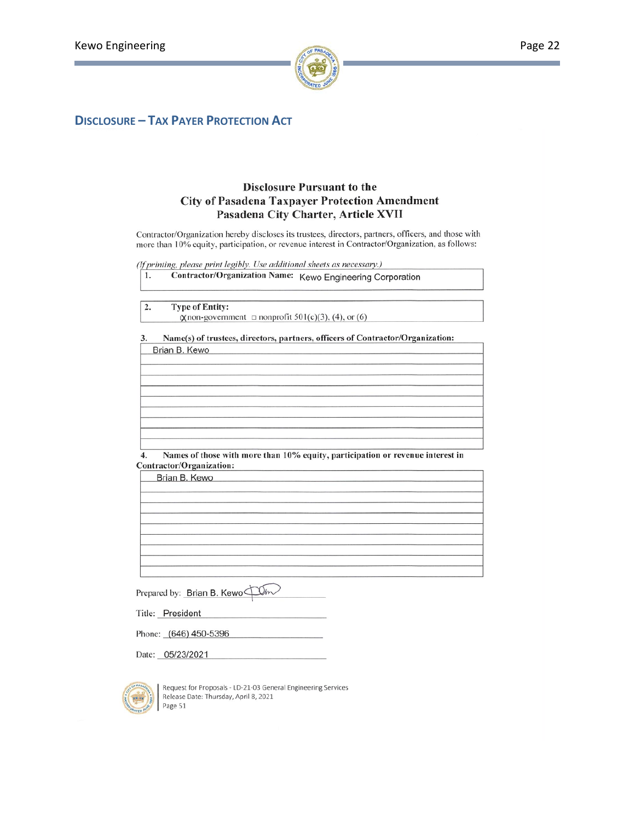

### **DISCLOSURE - TAX PAYER PROTECTION ACT**

#### **Disclosure Pursuant to the City of Pasadena Taxpayer Protection Amendment** Pasadena City Charter, Article XVII

Contractor/Organization hereby discloses its trustees, directors, partners, officers, and those with more than 10% equity, participation, or revenue interest in Contractor/Organization, as follows:

(If printing, please print legibly. Use additional sheets as necessary.)

|  |  | Contractor/Organization Name: Kewo Engineering Corporation |
|--|--|------------------------------------------------------------|
|--|--|------------------------------------------------------------|

| z. | <b>Type of Entity:</b>                                        |  |
|----|---------------------------------------------------------------|--|
|    | $\chi$ non-government $\Box$ nonprofit 501(c)(3), (4), or (6) |  |
|    |                                                               |  |

#### Name(s) of trustees, directors, partners, officers of Contractor/Organization: 3. Brian B. Kewo

 $\overline{4}$ . Names of those with more than 10% equity, participation or revenue interest in Contractor/Organization:

| Brian B. Kewo |  |  |
|---------------|--|--|
|               |  |  |
|               |  |  |
|               |  |  |
|               |  |  |
|               |  |  |
|               |  |  |

Prepared by: Brian B. Kewo Um.

Title: President

Phone: (646) 450-5396

Date: 05/23/2021



Request for Proposals - LD-21-03 General Engineering Services Release Date: Thursday, April 8, 2021 Page 51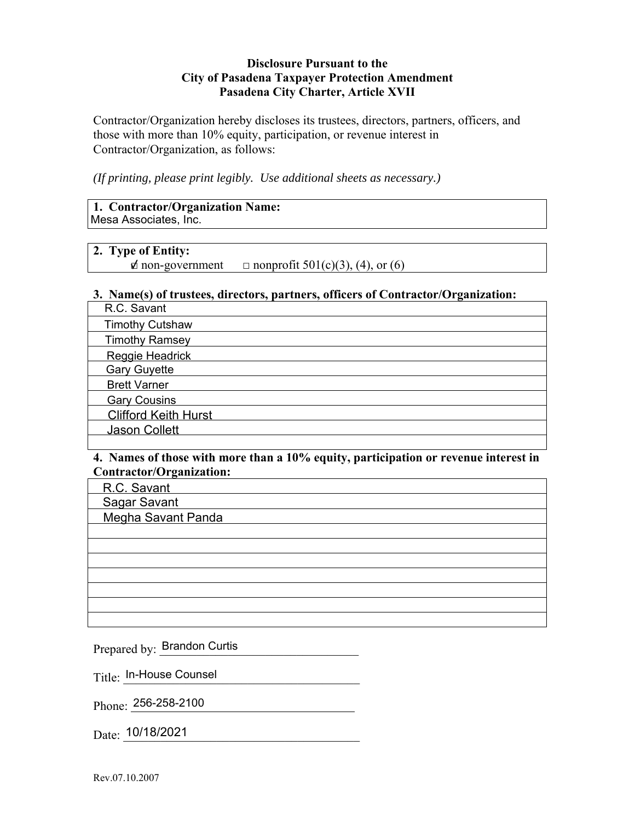#### **Disclosure Pursuant to the City of Pasadena Taxpayer Protection Amendment Pasadena City Charter, Article XVII**

Contractor/Organization hereby discloses its trustees, directors, partners, officers, and those with more than 10% equity, participation, or revenue interest in Contractor/Organization, as follows:

*(If printing, please print legibly. Use additional sheets as necessary.)* 

#### **1. Contractor/Organization Name:**  Mesa Associates, Inc.

#### **2. Type of Entity:**

 $\phi$  non-government  $\Box$  nonprofit 501(c)(3), (4), or (6)

#### **3. Name(s) of trustees, directors, partners, officers of Contractor/Organization:**

| R.C. Savant                 |
|-----------------------------|
| <b>Timothy Cutshaw</b>      |
| <b>Timothy Ramsey</b>       |
| Reggie Headrick             |
| <b>Gary Guyette</b>         |
| <b>Brett Varner</b>         |
| <b>Gary Cousins</b>         |
| <b>Clifford Keith Hurst</b> |
| Jason Collett               |
|                             |

#### **4. Names of those with more than a 10% equity, participation or revenue interest in Contractor/Organization:**

R.C. Savant

Sagar Savant

Megha Savant Panda

Prepared by: Brandon Curtis

 $\mathrm{Title:}\,$  In-House Counsel

Phone: 256-258-2100

Date: 10/18/2021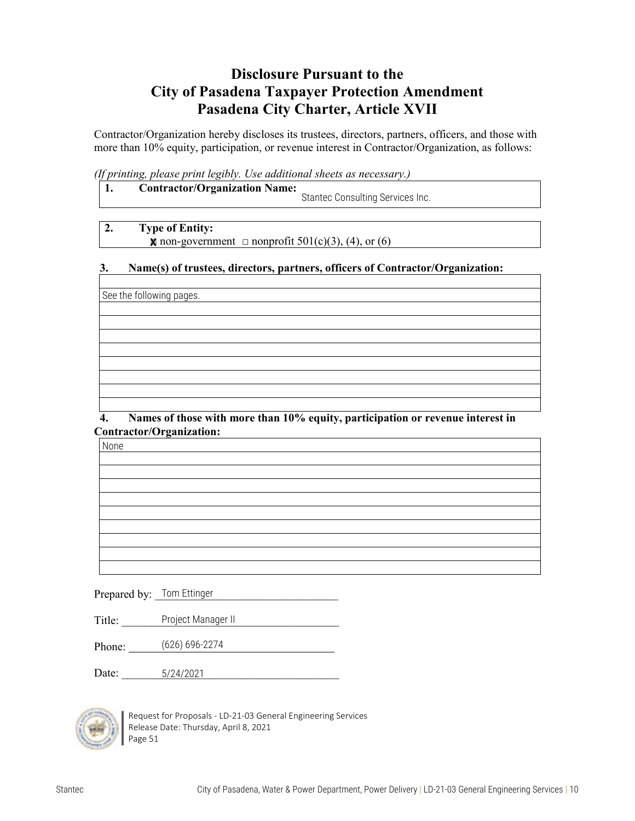## **Disclosure Pursuant to the City of Pasadena Taxpayer Protection Amendment Pasadena City Charter, Article XVII**

Contractor/Organization hereby discloses its trustees, directors, partners, officers, and those with more than 10% equity, participation, or revenue interest in Contractor/Organization, as follows:

*(If printing, please print legibly. Use additional sheets as necessary.)*

| ., | <b>Contractor/Organization Name:</b> |                                  |
|----|--------------------------------------|----------------------------------|
|    |                                      | Stantec Consulting Services Inc. |

#### **2. Type of Entity:**

 $\blacksquare$  non-government  $\Box$  nonprofit 501(c)(3), (4), or (6)

#### **3. Name(s) of trustees, directors, partners, officers of Contractor/Organization:**

See the following pages.

 **4. Names of those with more than 10% equity, participation or revenue interest in Contractor/Organization:**

None

Prepared by:  $\overline{\phantom{a}}$  Tom Ettinger

Title: The Project Manager II

Phone: (626) 696-2274

Date: 5/24/2021



Request for Proposals - LD-21-03 General Engineering Services Release Date: Thursday, April 8, 2021 Page 51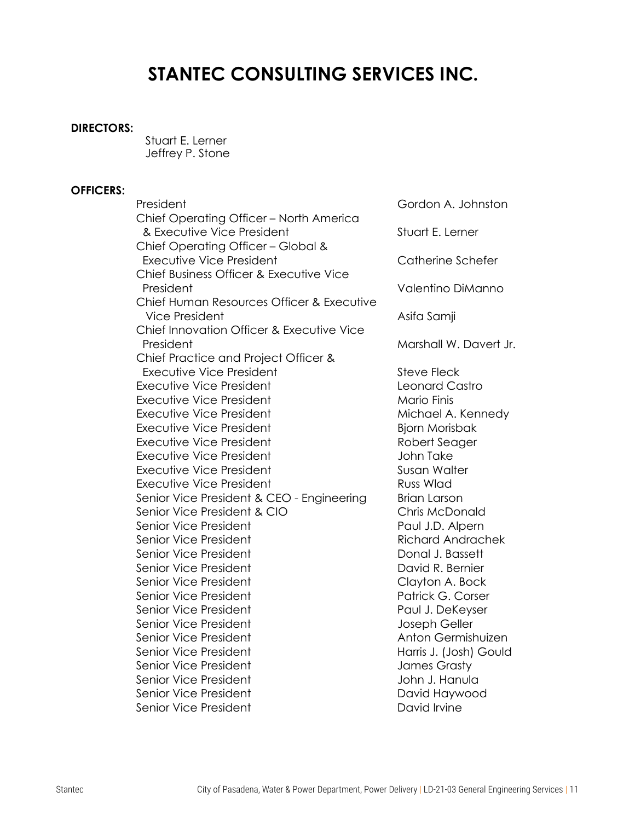# **STANTEC CONSULTING SERVICES INC.**

#### **DIRECTORS:**

Stuart E. Lerner Jeffrey P. Stone

#### **OFFICERS:**

President Gordon A. Johnston Chief Operating Officer – North America & Executive Vice President Stuart E. Lerner Chief Operating Officer – Global & Executive Vice President Catherine Schefer Chief Business Officer & Executive Vice President Valentino DiManno Chief Human Resources Officer & Executive Vice President **Asifa Samji** Chief Innovation Officer & Executive Vice President Marshall W. Davert Jr. Chief Practice and Project Officer & Executive Vice President **Steve Fleck** Steve Fleck Executive Vice President **Leonard Castro** Executive Vice President Mario Finis Executive Vice President Michael A. Kennedy Executive Vice President **Biorn Morisbak** Executive Vice President **Robert Seager** Robert Seager Executive Vice President **Container Student** John Take Executive Vice President Susan Walter Executive Vice President **Russ Wlad** Senior Vice President & CEO - Engineering Brian Larson Senior Vice President & CIO Chris McDonald Senior Vice President **Paul J.D. Alpern** Paul J.D. Alpern Senior Vice President **Richard Andrachek** Senior Vice President **Donal J. Bassett** Senior Vice President **David R. Bernier** Senior Vice President Clayton A. Bock Senior Vice President **Patrick G. Corser** Patrick G. Corser Senior Vice President **Paul J. DeKeyser** Paul J. DeKeyser Senior Vice President and The Senior Vice President and The Joseph Geller Senior Vice President Anton Germishuizen Senior Vice President **Harris J. (Josh) Gould** Senior Vice President and Tames Grasty Senior Vice President and The John J. Hanula Senior Vice President National Contract Contract David Haywood Senior Vice President **David Irvine**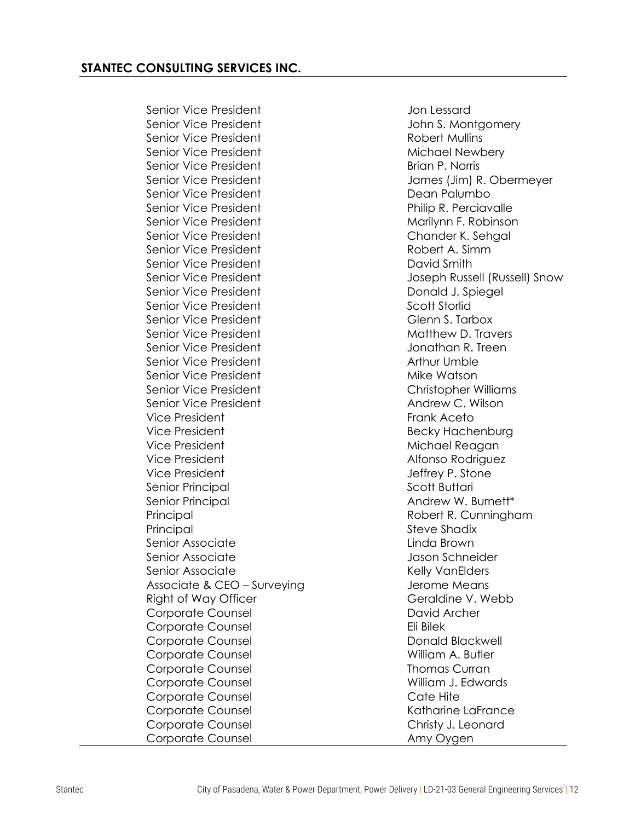Senior Vice President and The Senior Vice President And The Jon Lessard Senior Vice President **Senior Vice President** John S. Montgomery Senior Vice President **Robert Mullins** Senior Vice President Michael Newbery Senior Vice President **Brian President** Brian P. Norris Senior Vice President **Senior Access 1986** Dean Palumbo Senior Vice President **Philip R. Perciavalle** Senior Vice President Marilynn F. Robinson Senior Vice President Chander K. Sehgal Senior Vice President **Robert A. Simm** Senior Vice President **David Smith** Senior Vice President **Donald J. Spiegel** Senior Vice President Senior Scott Storlid Senior Vice President Glenn S. Tarbox Senior Vice President Matthew D. Travers Senior Vice President Jonathan R. Treen Senior Vice President Arthur Umble Senior Vice President Mike Watson Senior Vice President Christopher Williams Senior Vice President Andrew C. Wilson Vice President **Frank Aceto** Vice President and Becky Hachenburg Vice President Michael Reagan Vice President **Alfonso Rodriguez** Vice President and Telecomputer Stone Jeffrey P. Stone Senior Principal Senior Scott Buttari Senior Principal Andrew W. Burnett\* Principal **Principal Robert R. Cunningham** Principal Steve Shadix Senior Associate **Linda Brown** Senior Associate and Schneider Jason Schneider Senior Associate **Kelly VanElders** Associate & CEO – Surveying The Means Right of Way Officer **Geraldine V. Webb** Corporate Counsel **David Archer** Corporate Counsel **Eli** Bilek Corporate Counsel **Communist Constant Constant Constant Constant Constant Constant Constant Constant Constant** Corporate Counsel William A. Butler Corporate Counsel **Thomas** Curran Corporate Counsel William J. Edwards Corporate Counsel **Cate Hite** Cate Hite Corporate Counsel **Conservation Conservation** Katharine LaFrance Corporate Counsel Corporate Counsel Christy J. Leonard Corporate Counsel **Amy Oygen** 

Senior Vice President James (Jim) R. Obermeyer Senior Vice President Joseph Russell (Russell) Snow